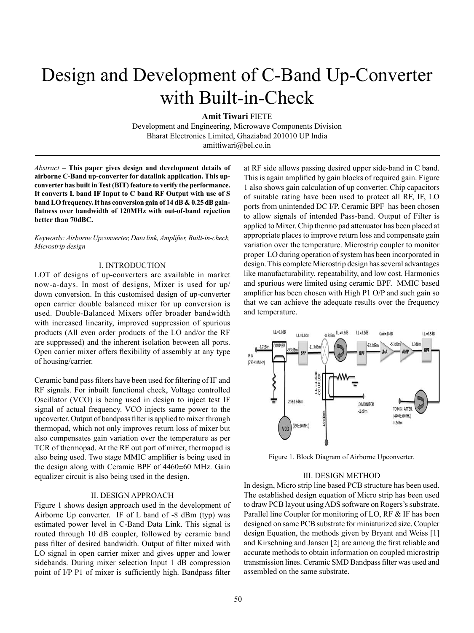# Design and Development of C-Band Up-Converter with Built-in-Check

**Amit Tiwari** FIETE

Development and Engineering, Microwave Components Division Bharat Electronics Limited, Ghaziabad 201010 UP India amittiwari@bel.co.in

*Abstract –* **This paper gives design and development details of airborne C-Band up-converter for datalink application. This upconverter has built in Test (BIT) feature to verify the performance. It converts L band IF Input to C band RF Output with use of S band LO frequency. It has conversion gain of 14 dB & 0.25 dB gainflatness over bandwidth of 120MHz with out-of-band rejection better than 70dBC.** 

*Keywords: Airborne Upconverter, Data link, Amplifier, Built-in-check, Microstrip design*

#### I. INTRODUCTION

LOT of designs of up-converters are available in market now-a-days. In most of designs, Mixer is used for up/ down conversion. In this customised design of up-converter open carrier double balanced mixer for up conversion is used. Double-Balanced Mixers offer broader bandwidth with increased linearity, improved suppression of spurious products (All even order products of the LO and/or the RF are suppressed) and the inherent isolation between all ports. Open carrier mixer offers flexibility of assembly at any type of housing/carrier.

Ceramic band pass filters have been used for filtering of IF and RF signals. For inbuilt functional check, Voltage controlled Oscillator (VCO) is being used in design to inject test IF signal of actual frequency. VCO injects same power to the upcoverter. Output of bandpass filter is applied to mixer through thermopad, which not only improves return loss of mixer but also compensates gain variation over the temperature as per TCR of thermopad. At the RF out port of mixer, thermopad is also being used. Two stage MMIC amplifier is being used in the design along with Ceramic BPF of 4460±60 MHz. Gain equalizer circuit is also being used in the design.

#### II. DESIGN APPROACH

Figure 1 shows design approach used in the development of Airborne Up converter. IF of L band of -8 dBm (typ) was estimated power level in C-Band Data Link. This signal is routed through 10 dB coupler, followed by ceramic band pass filter of desired bandwidth. Output of filter mixed with LO signal in open carrier mixer and gives upper and lower sidebands. During mixer selection Input 1 dB compression point of I/P P1 of mixer is sufficiently high. Bandpass filter

at RF side allows passing desired upper side-band in C band. This is again amplified by gain blocks of required gain. Figure 1 also shows gain calculation of up converter. Chip capacitors of suitable rating have been used to protect all RF, IF, LO ports from unintended DC I/P. Ceramic BPF has been chosen to allow signals of intended Pass-band. Output of Filter is applied to Mixer. Chip thermo pad attenuator has been placed at appropriate places to improve return loss and compensate gain variation over the temperature. Microstrip coupler to monitor proper LO during operation of system has been incorporated in design. This complete Microstrip design has several advantages like manufacturability, repeatability, and low cost. Harmonics and spurious were limited using ceramic BPF. MMIC based amplifier has been chosen with High P1 O/P and such gain so that we can achieve the adequate results over the frequency and temperature.



Figure 1. Block Diagram of Airborne Upconverter.

#### III. DESIGN METHOD

In design, Micro strip line based PCB structure has been used. The established design equation of Micro strip has been used to draw PCB layout using ADS software on Rogers's substrate. Parallel line Coupler for monitoring of LO, RF & IF has been designed on same PCB substrate for miniaturized size. Coupler design Equation, the methods given by Bryant and Weiss [1] and Kirschning and Jansen [2] are among the first reliable and accurate methods to obtain information on coupled microstrip transmission lines. Ceramic SMD Bandpass filter was used and assembled on the same substrate.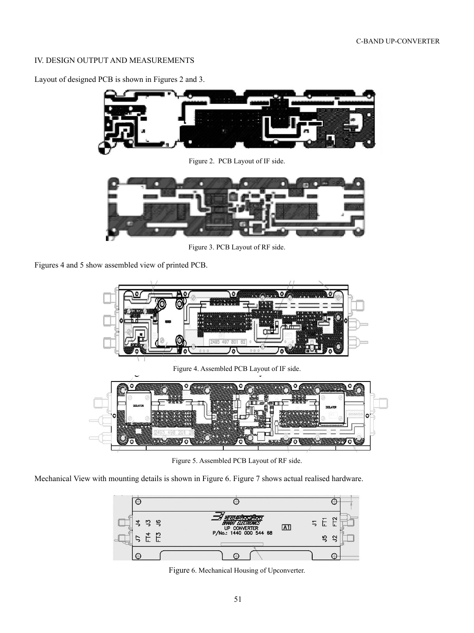# IV. DESIGN OUTPUT and MEASUREMENTs

Layout of designed PCB is shown in Figures 2 and 3.



Figure 2. PCB Layout of IF side.



Figure 3. PCB Layout of RF side.

Figures 4 and 5 show assembled view of printed PCB.



Figure 5. Assembled PCB Layout of RF side.

Mechanical View with mounting details is shown in Figure 6. Figure 7 shows actual realised hardware.



Figure 6. Mechanical Housing of Upconverter.